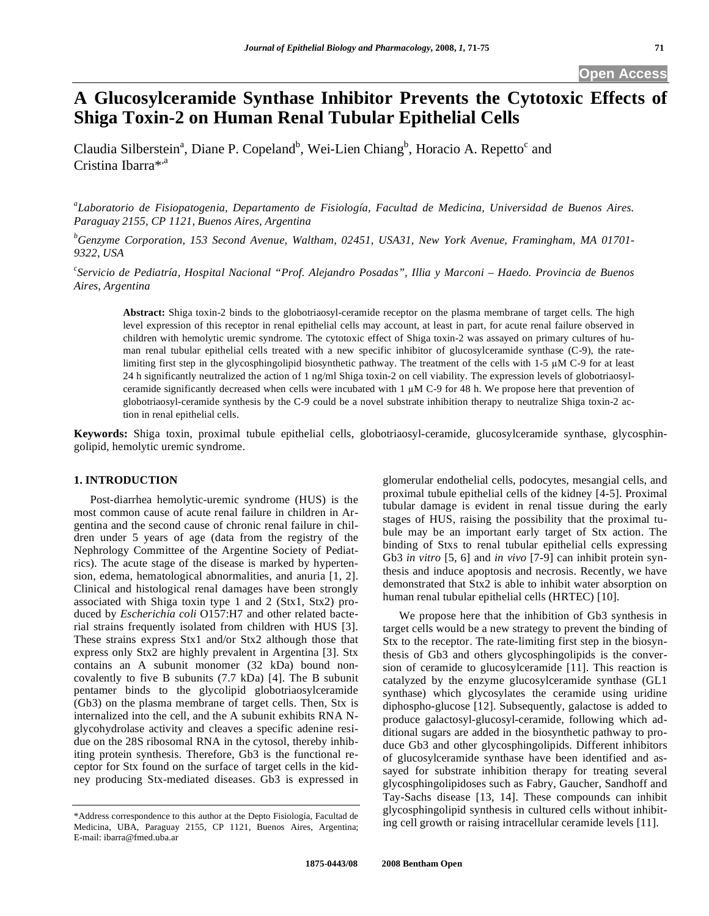# **A Glucosylceramide Synthase Inhibitor Prevents the Cytotoxic Effects of Shiga Toxin-2 on Human Renal Tubular Epithelial Cells**

Claudia Silberstein<sup>a</sup>, Diane P. Copeland<sup>b</sup>, Wei-Lien Chiang<sup>b</sup>, Horacio A. Repetto<sup>c</sup> and Cristina Ibarra\*,<sup>a</sup>

*a Laboratorio de Fisiopatogenia, Departamento de Fisiología, Facultad de Medicina, Universidad de Buenos Aires. Paraguay 2155, CP 1121, Buenos Aires, Argentina* 

*b Genzyme Corporation, 153 Second Avenue, Waltham, 02451, USA31, New York Avenue, Framingham, MA 01701- 9322, USA* 

*c Servicio de Pediatría, Hospital Nacional "Prof. Alejandro Posadas", Illia y Marconi – Haedo. Provincia de Buenos Aires, Argentina* 

**Abstract:** Shiga toxin-2 binds to the globotriaosyl-ceramide receptor on the plasma membrane of target cells. The high level expression of this receptor in renal epithelial cells may account, at least in part, for acute renal failure observed in children with hemolytic uremic syndrome. The cytotoxic effect of Shiga toxin-2 was assayed on primary cultures of human renal tubular epithelial cells treated with a new specific inhibitor of glucosylceramide synthase (C-9), the ratelimiting first step in the glycosphingolipid biosynthetic pathway. The treatment of the cells with  $1-5 \mu M C-9$  for at least 24 h significantly neutralized the action of 1 ng/ml Shiga toxin-2 on cell viability. The expression levels of globotriaosylceramide significantly decreased when cells were incubated with  $1 \mu M$  C-9 for 48 h. We propose here that prevention of globotriaosyl-ceramide synthesis by the C-9 could be a novel substrate inhibition therapy to neutralize Shiga toxin-2 action in renal epithelial cells.

**Keywords:** Shiga toxin, proximal tubule epithelial cells, globotriaosyl-ceramide, glucosylceramide synthase, glycosphingolipid, hemolytic uremic syndrome.

# **1. INTRODUCTION**

 Post-diarrhea hemolytic-uremic syndrome (HUS) is the most common cause of acute renal failure in children in Argentina and the second cause of chronic renal failure in children under 5 years of age (data from the registry of the Nephrology Committee of the Argentine Society of Pediatrics). The acute stage of the disease is marked by hypertension, edema, hematological abnormalities, and anuria [1, 2]. Clinical and histological renal damages have been strongly associated with Shiga toxin type 1 and 2 (Stx1, Stx2) produced by *Escherichia coli* O157:H7 and other related bacterial strains frequently isolated from children with HUS [3]. These strains express Stx1 and/or Stx2 although those that express only Stx2 are highly prevalent in Argentina [3]. Stx contains an A subunit monomer (32 kDa) bound noncovalently to five B subunits (7.7 kDa) [4]. The B subunit pentamer binds to the glycolipid globotriaosylceramide (Gb3) on the plasma membrane of target cells. Then, Stx is internalized into the cell, and the A subunit exhibits RNA Nglycohydrolase activity and cleaves a specific adenine residue on the 28S ribosomal RNA in the cytosol, thereby inhibiting protein synthesis. Therefore, Gb3 is the functional receptor for Stx found on the surface of target cells in the kidney producing Stx-mediated diseases. Gb3 is expressed in

glomerular endothelial cells, podocytes, mesangial cells, and proximal tubule epithelial cells of the kidney [4-5]. Proximal tubular damage is evident in renal tissue during the early stages of HUS, raising the possibility that the proximal tubule may be an important early target of Stx action. The binding of Stxs to renal tubular epithelial cells expressing Gb3 *in vitro* [5, 6] and *in vivo* [7-9] can inhibit protein synthesis and induce apoptosis and necrosis. Recently, we have demonstrated that Stx2 is able to inhibit water absorption on human renal tubular epithelial cells (HRTEC) [10].

 We propose here that the inhibition of Gb3 synthesis in target cells would be a new strategy to prevent the binding of Stx to the receptor. The rate-limiting first step in the biosynthesis of Gb3 and others glycosphingolipids is the conversion of ceramide to glucosylceramide [11]. This reaction is catalyzed by the enzyme glucosylceramide synthase (GL1 synthase) which glycosylates the ceramide using uridine diphospho-glucose [12]. Subsequently, galactose is added to produce galactosyl-glucosyl-ceramide, following which additional sugars are added in the biosynthetic pathway to produce Gb3 and other glycosphingolipids. Different inhibitors of glucosylceramide synthase have been identified and assayed for substrate inhibition therapy for treating several glycosphingolipidoses such as Fabry, Gaucher, Sandhoff and Tay-Sachs disease [13, 14]. These compounds can inhibit glycosphingolipid synthesis in cultured cells without inhibiting cell growth or raising intracellular ceramide levels [11].

<sup>\*</sup>Address correspondence to this author at the Depto Fisiología, Facultad de Medicina, UBA, Paraguay 2155, CP 1121, Buenos Aires, Argentina; E-mail: ibarra@fmed.uba.ar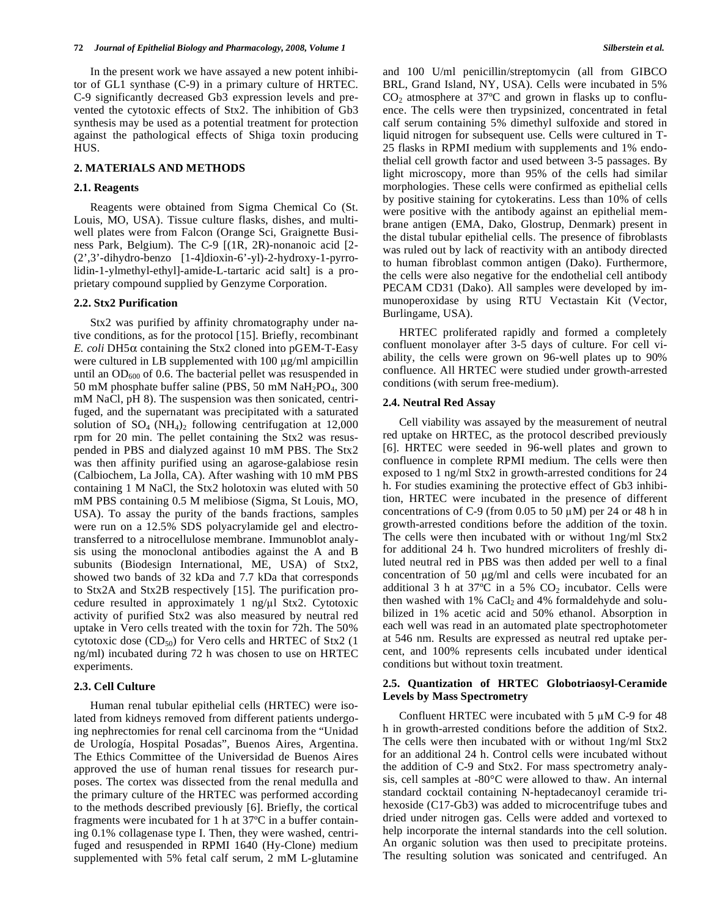In the present work we have assayed a new potent inhibitor of GL1 synthase (C-9) in a primary culture of HRTEC. C-9 significantly decreased Gb3 expression levels and prevented the cytotoxic effects of Stx2. The inhibition of Gb3 synthesis may be used as a potential treatment for protection against the pathological effects of Shiga toxin producing HUS.

## **2. MATERIALS AND METHODS**

#### **2.1. Reagents**

 Reagents were obtained from Sigma Chemical Co (St. Louis, MO, USA). Tissue culture flasks, dishes, and multiwell plates were from Falcon (Orange Sci, Graignette Business Park, Belgium). The C-9 [(1R, 2R)-nonanoic acid [2- (2',3'-dihydro-benzo [1-4]dioxin-6'-yl)-2-hydroxy-1-pyrrolidin-1-ylmethyl-ethyl]-amide-L-tartaric acid salt] is a proprietary compound supplied by Genzyme Corporation.

#### **2.2. Stx2 Purification**

 Stx2 was purified by affinity chromatography under native conditions, as for the protocol [15]. Briefly, recombinant *E. coli* DH5 $\alpha$  containing the Stx2 cloned into pGEM-T-Easy were cultured in LB supplemented with 100 µg/ml ampicillin until an  $OD_{600}$  of 0.6. The bacterial pellet was resuspended in 50 mM phosphate buffer saline (PBS, 50 mM NaH<sub>2</sub>PO<sub>4</sub>, 300) mM NaCl, pH 8). The suspension was then sonicated, centrifuged, and the supernatant was precipitated with a saturated solution of  $SO_4$  (NH<sub>4</sub>)<sub>2</sub> following centrifugation at 12,000 rpm for 20 min. The pellet containing the Stx2 was resuspended in PBS and dialyzed against 10 mM PBS. The Stx2 was then affinity purified using an agarose-galabiose resin (Calbiochem, La Jolla, CA). After washing with 10 mM PBS containing 1 M NaCl, the Stx2 holotoxin was eluted with 50 mM PBS containing 0.5 M melibiose (Sigma, St Louis, MO, USA). To assay the purity of the bands fractions, samples were run on a 12.5% SDS polyacrylamide gel and electrotransferred to a nitrocellulose membrane. Immunoblot analysis using the monoclonal antibodies against the A and B subunits (Biodesign International, ME, USA) of Stx2, showed two bands of 32 kDa and 7.7 kDa that corresponds to Stx2A and Stx2B respectively [15]. The purification procedure resulted in approximately 1 ng/ $\mu$ 1 Stx2. Cytotoxic activity of purified Stx2 was also measured by neutral red uptake in Vero cells treated with the toxin for 72h. The 50% cytotoxic dose  $(CD_{50})$  for Vero cells and HRTEC of Stx2 (1) ng/ml) incubated during 72 h was chosen to use on HRTEC experiments.

#### **2.3. Cell Culture**

 Human renal tubular epithelial cells (HRTEC) were isolated from kidneys removed from different patients undergoing nephrectomies for renal cell carcinoma from the "Unidad de Urología, Hospital Posadas", Buenos Aires, Argentina. The Ethics Committee of the Universidad de Buenos Aires approved the use of human renal tissues for research purposes. The cortex was dissected from the renal medulla and the primary culture of the HRTEC was performed according to the methods described previously [6]. Briefly, the cortical fragments were incubated for 1 h at 37ºC in a buffer containing 0.1% collagenase type I. Then, they were washed, centrifuged and resuspended in RPMI 1640 (Hy-Clone) medium supplemented with 5% fetal calf serum, 2 mM L-glutamine and 100 U/ml penicillin/streptomycin (all from GIBCO BRL, Grand Island, NY, USA). Cells were incubated in 5%  $CO<sub>2</sub>$  atmosphere at 37 $\degree$ C and grown in flasks up to confluence. The cells were then trypsinized, concentrated in fetal calf serum containing 5% dimethyl sulfoxide and stored in liquid nitrogen for subsequent use. Cells were cultured in T-25 flasks in RPMI medium with supplements and 1% endothelial cell growth factor and used between 3-5 passages. By light microscopy, more than 95% of the cells had similar morphologies. These cells were confirmed as epithelial cells by positive staining for cytokeratins. Less than 10% of cells were positive with the antibody against an epithelial membrane antigen (EMA, Dako, Glostrup, Denmark) present in the distal tubular epithelial cells. The presence of fibroblasts was ruled out by lack of reactivity with an antibody directed to human fibroblast common antigen (Dako). Furthermore, the cells were also negative for the endothelial cell antibody PECAM CD31 (Dako). All samples were developed by immunoperoxidase by using RTU Vectastain Kit (Vector, Burlingame, USA).

 HRTEC proliferated rapidly and formed a completely confluent monolayer after 3-5 days of culture. For cell viability, the cells were grown on 96-well plates up to 90% confluence. All HRTEC were studied under growth-arrested conditions (with serum free-medium).

#### **2.4. Neutral Red Assay**

 Cell viability was assayed by the measurement of neutral red uptake on HRTEC, as the protocol described previously [6]. HRTEC were seeded in 96-well plates and grown to confluence in complete RPMI medium. The cells were then exposed to 1 ng/ml Stx2 in growth-arrested conditions for 24 h. For studies examining the protective effect of Gb3 inhibition, HRTEC were incubated in the presence of different concentrations of C-9 (from 0.05 to 50  $\mu$ M) per 24 or 48 h in growth-arrested conditions before the addition of the toxin. The cells were then incubated with or without 1ng/ml Stx2 for additional 24 h. Two hundred microliters of freshly diluted neutral red in PBS was then added per well to a final concentration of 50  $\mu$ g/ml and cells were incubated for an additional 3 h at  $37^{\circ}$ C in a 5%  $CO_2$  incubator. Cells were then washed with  $1\%$  CaCl<sub>2</sub> and  $4\%$  formaldehyde and solubilized in 1% acetic acid and 50% ethanol. Absorption in each well was read in an automated plate spectrophotometer at 546 nm. Results are expressed as neutral red uptake percent, and 100% represents cells incubated under identical conditions but without toxin treatment.

## **2.5. Quantization of HRTEC Globotriaosyl-Ceramide Levels by Mass Spectrometry**

Confluent HRTEC were incubated with  $5 \mu M$  C-9 for 48 h in growth-arrested conditions before the addition of Stx2. The cells were then incubated with or without 1ng/ml Stx2 for an additional 24 h. Control cells were incubated without the addition of C-9 and Stx2. For mass spectrometry analysis, cell samples at -80°C were allowed to thaw. An internal standard cocktail containing N-heptadecanoyl ceramide trihexoside (C17-Gb3) was added to microcentrifuge tubes and dried under nitrogen gas. Cells were added and vortexed to help incorporate the internal standards into the cell solution. An organic solution was then used to precipitate proteins. The resulting solution was sonicated and centrifuged. An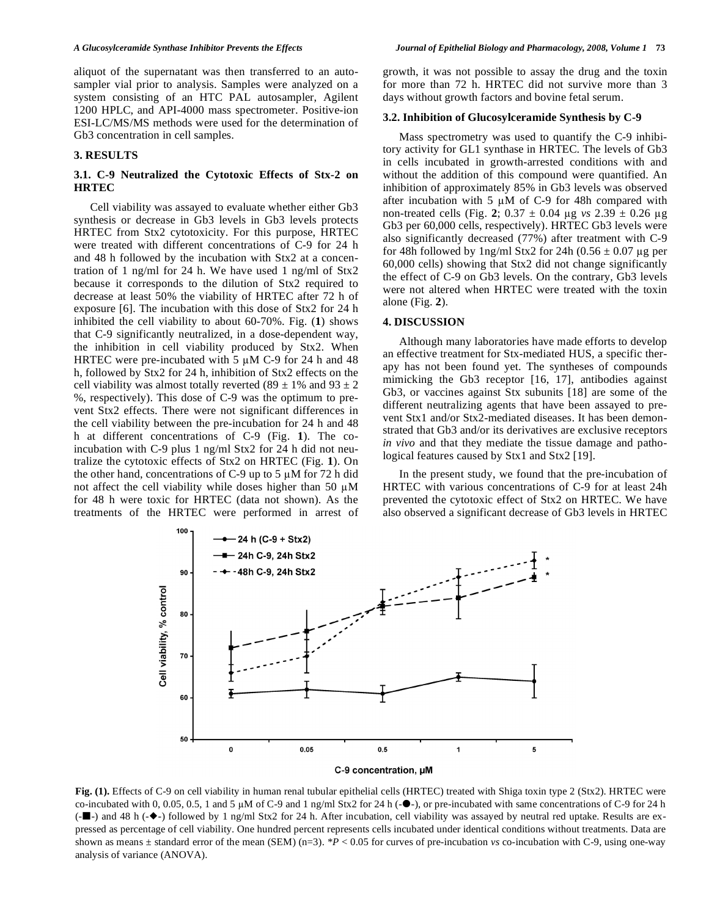aliquot of the supernatant was then transferred to an autosampler vial prior to analysis. Samples were analyzed on a system consisting of an HTC PAL autosampler, Agilent 1200 HPLC, and API-4000 mass spectrometer. Positive-ion ESI-LC/MS/MS methods were used for the determination of Gb3 concentration in cell samples.

#### **3. RESULTS**

## **3.1. C-9 Neutralized the Cytotoxic Effects of Stx-2 on HRTEC**

 Cell viability was assayed to evaluate whether either Gb3 synthesis or decrease in Gb3 levels in Gb3 levels protects HRTEC from Stx2 cytotoxicity. For this purpose, HRTEC were treated with different concentrations of C-9 for 24 h and 48 h followed by the incubation with Stx2 at a concentration of 1 ng/ml for 24 h. We have used 1 ng/ml of Stx2 because it corresponds to the dilution of Stx2 required to decrease at least 50% the viability of HRTEC after 72 h of exposure [6]. The incubation with this dose of Stx2 for 24 h inhibited the cell viability to about 60-70%. Fig. (**1**) shows that C-9 significantly neutralized, in a dose-dependent way, the inhibition in cell viability produced by Stx2. When HRTEC were pre-incubated with 5  $\mu$ M C-9 for 24 h and 48 h, followed by Stx2 for 24 h, inhibition of Stx2 effects on the cell viability was almost totally reverted (89  $\pm$  1% and 93  $\pm$  2 %, respectively). This dose of C-9 was the optimum to prevent Stx2 effects. There were not significant differences in the cell viability between the pre-incubation for 24 h and 48 h at different concentrations of C-9 (Fig. **1**). The coincubation with C-9 plus 1 ng/ml Stx2 for 24 h did not neutralize the cytotoxic effects of Stx2 on HRTEC (Fig. **1**). On the other hand, concentrations of C-9 up to 5  $\mu$ M for 72 h did not affect the cell viability while doses higher than 50  $\mu$ M for 48 h were toxic for HRTEC (data not shown). As the treatments of the HRTEC were performed in arrest of

growth, it was not possible to assay the drug and the toxin for more than 72 h. HRTEC did not survive more than 3 days without growth factors and bovine fetal serum.

#### **3.2. Inhibition of Glucosylceramide Synthesis by C-9**

 Mass spectrometry was used to quantify the C-9 inhibitory activity for GL1 synthase in HRTEC. The levels of Gb3 in cells incubated in growth-arrested conditions with and without the addition of this compound were quantified. An inhibition of approximately 85% in Gb3 levels was observed after incubation with 5  $\mu$ M of C-9 for 48h compared with non-treated cells (Fig. 2;  $0.37 \pm 0.04$  µg *vs*  $2.39 \pm 0.26$  µg Gb3 per 60,000 cells, respectively). HRTEC Gb3 levels were also significantly decreased (77%) after treatment with C-9 for 48h followed by  $\ln g$ /ml Stx2 for 24h (0.56  $\pm$  0.07 µg per 60,000 cells) showing that Stx2 did not change significantly the effect of C-9 on Gb3 levels. On the contrary, Gb3 levels were not altered when HRTEC were treated with the toxin alone (Fig. **2**).

### **4. DISCUSSION**

 Although many laboratories have made efforts to develop an effective treatment for Stx-mediated HUS, a specific therapy has not been found yet. The syntheses of compounds mimicking the Gb3 receptor [16, 17], antibodies against Gb3, or vaccines against Stx subunits [18] are some of the different neutralizing agents that have been assayed to prevent Stx1 and/or Stx2-mediated diseases. It has been demonstrated that Gb3 and/or its derivatives are exclusive receptors *in vivo* and that they mediate the tissue damage and pathological features caused by Stx1 and Stx2 [19].

 In the present study, we found that the pre-incubation of HRTEC with various concentrations of C-9 for at least 24h prevented the cytotoxic effect of Stx2 on HRTEC. We have also observed a significant decrease of Gb3 levels in HRTEC



**Fig. (1).** Effects of C-9 on cell viability in human renal tubular epithelial cells (HRTEC) treated with Shiga toxin type 2 (Stx2). HRTEC were co-incubated with 0, 0.05, 0.5, 1 and 5  $\mu$ M of C-9 and 1 ng/ml Stx2 for 24 h (- $\bullet$ ), or pre-incubated with same concentrations of C-9 for 24 h (---) and 48 h (--) followed by 1 ng/ml Stx2 for 24 h. After incubation, cell viability was assayed by neutral red uptake. Results are expressed as percentage of cell viability. One hundred percent represents cells incubated under identical conditions without treatments. Data are shown as means ± standard error of the mean (SEM) (n=3). *\*P* < 0.05 for curves of pre-incubation *vs* co-incubation with C-9, using one-way analysis of variance (ANOVA).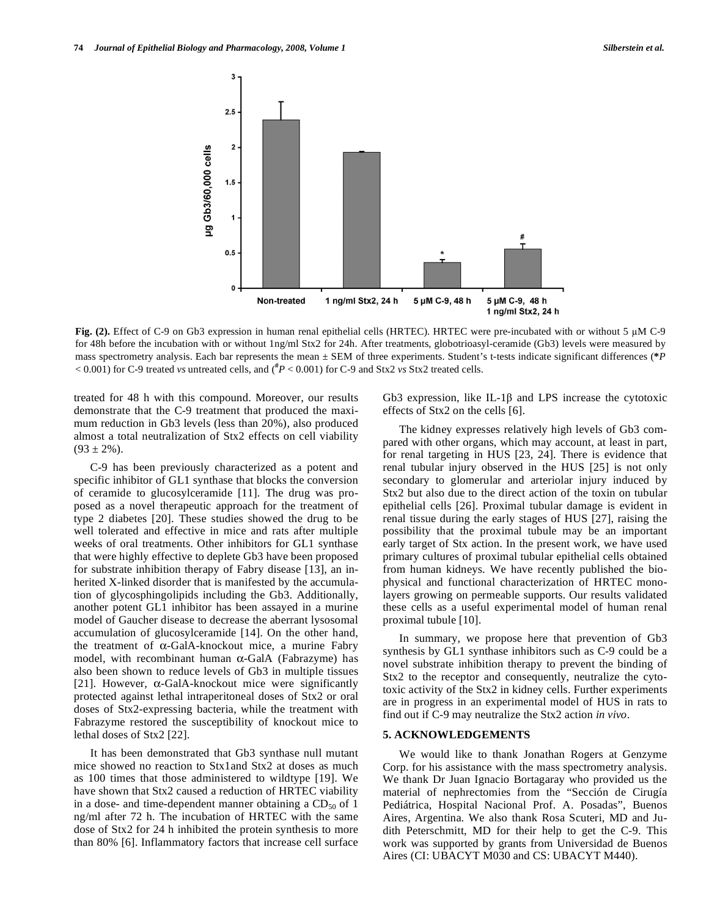

**Fig. (2).** Effect of C-9 on Gb3 expression in human renal epithelial cells (HRTEC). HRTEC were pre-incubated with or without 5  $\mu$ M C-9 for 48h before the incubation with or without 1ng/ml Stx2 for 24h. After treatments, globotrioasyl-ceramide (Gb3) levels were measured by mass spectrometry analysis. Each bar represents the mean ± SEM of three experiments. Student's t-tests indicate significant differences (**\****P* < 0.001) for C-9 treated *vs* untreated cells, and (**#** *P* < 0.001) for C-9 and Stx2 *vs* Stx2 treated cells.

treated for 48 h with this compound. Moreover, our results demonstrate that the C-9 treatment that produced the maximum reduction in Gb3 levels (less than 20%), also produced almost a total neutralization of Stx2 effects on cell viability  $(93 \pm 2\%)$ .

 C-9 has been previously characterized as a potent and specific inhibitor of GL1 synthase that blocks the conversion of ceramide to glucosylceramide [11]. The drug was proposed as a novel therapeutic approach for the treatment of type 2 diabetes [20]. These studies showed the drug to be well tolerated and effective in mice and rats after multiple weeks of oral treatments. Other inhibitors for GL1 synthase that were highly effective to deplete Gb3 have been proposed for substrate inhibition therapy of Fabry disease [13], an inherited X-linked disorder that is manifested by the accumulation of glycosphingolipids including the Gb3. Additionally, another potent GL1 inhibitor has been assayed in a murine model of Gaucher disease to decrease the aberrant lysosomal accumulation of glucosylceramide [14]. On the other hand, the treatment of  $\alpha$ -GalA-knockout mice, a murine Fabry model, with recombinant human  $\alpha$ -GalA (Fabrazyme) has also been shown to reduce levels of Gb3 in multiple tissues [21]. However,  $\alpha$ -GalA-knockout mice were significantly protected against lethal intraperitoneal doses of Stx2 or oral doses of Stx2-expressing bacteria, while the treatment with Fabrazyme restored the susceptibility of knockout mice to lethal doses of Stx2 [22].

 It has been demonstrated that Gb3 synthase null mutant mice showed no reaction to Stx1and Stx2 at doses as much as 100 times that those administered to wildtype [19]. We have shown that Stx2 caused a reduction of HRTEC viability in a dose- and time-dependent manner obtaining a  $CD_{50}$  of 1 ng/ml after 72 h. The incubation of HRTEC with the same dose of Stx2 for 24 h inhibited the protein synthesis to more than 80% [6]. Inflammatory factors that increase cell surface

Gb3 expression, like IL-1 $\beta$  and LPS increase the cytotoxic effects of Stx2 on the cells [6].

 The kidney expresses relatively high levels of Gb3 compared with other organs, which may account, at least in part, for renal targeting in HUS [23, 24]. There is evidence that renal tubular injury observed in the HUS [25] is not only secondary to glomerular and arteriolar injury induced by Stx2 but also due to the direct action of the toxin on tubular epithelial cells [26]. Proximal tubular damage is evident in renal tissue during the early stages of HUS [27], raising the possibility that the proximal tubule may be an important early target of Stx action. In the present work, we have used primary cultures of proximal tubular epithelial cells obtained from human kidneys. We have recently published the biophysical and functional characterization of HRTEC monolayers growing on permeable supports. Our results validated these cells as a useful experimental model of human renal proximal tubule [10].

 In summary, we propose here that prevention of Gb3 synthesis by GL1 synthase inhibitors such as C-9 could be a novel substrate inhibition therapy to prevent the binding of Stx2 to the receptor and consequently, neutralize the cytotoxic activity of the Stx2 in kidney cells. Further experiments are in progress in an experimental model of HUS in rats to find out if C-9 may neutralize the Stx2 action *in vivo*.

#### **5. ACKNOWLEDGEMENTS**

 We would like to thank Jonathan Rogers at Genzyme Corp. for his assistance with the mass spectrometry analysis. We thank Dr Juan Ignacio Bortagaray who provided us the material of nephrectomies from the "Sección de Cirugía Pediátrica, Hospital Nacional Prof. A. Posadas", Buenos Aires, Argentina. We also thank Rosa Scuteri, MD and Judith Peterschmitt, MD for their help to get the C-9. This work was supported by grants from Universidad de Buenos Aires (CI: UBACYT M030 and CS: UBACYT M440).